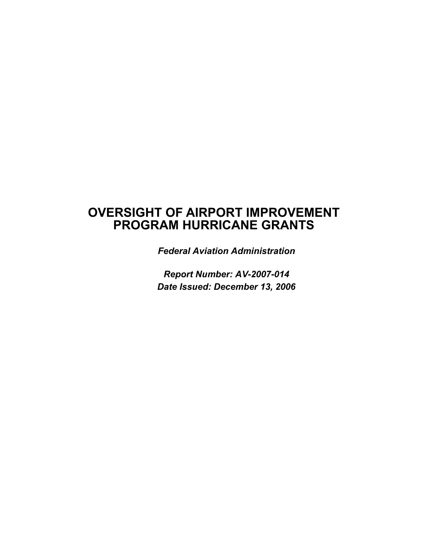### **OVERSIGHT OF AIRPORT IMPROVEMENT PROGRAM HURRICANE GRANTS**

*Federal Aviation Administration* 

*Report Number: AV-2007-014 Date Issued: December 13, 2006*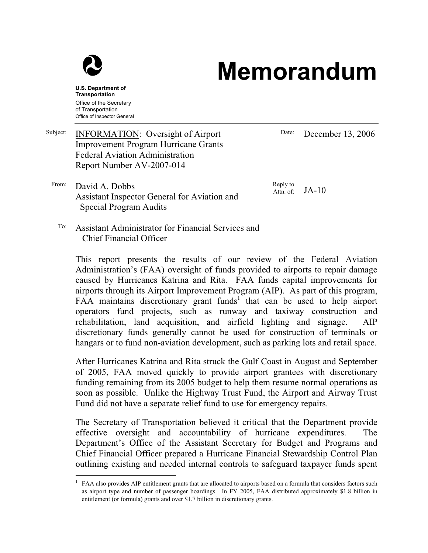

## **Memorandum**

**U.S. Department of Transportation**  Office of the Secretary of Transportation Office of Inspector General

Date: December 13, 2006

From: David A. Dobbs Assistant Inspector General for Aviation and Special Program Audits

Improvement Program Hurricane Grants

Subject: **INFORMATION:** Oversight of Airport

Federal Aviation Administration Report Number AV-2007-014

> Reply to Attn. of: JA-10

To: Assistant Administrator for Financial Services and Chief Financial Officer

This report presents the results of our review of the Federal Aviation Administration's (FAA) oversight of funds provided to airports to repair damage caused by Hurricanes Katrina and Rita. FAA funds capital improvements for airports through its Airport Improvement Program (AIP). As part of this program, FAA maintains discretionary grant funds<sup>1</sup> that can be used to help airport operators fund projects, such as runway and taxiway construction and rehabilitation, land acquisition, and airfield lighting and signage. AIP discretionary funds generally cannot be used for construction of terminals or hangars or to fund non-aviation development, such as parking lots and retail space.

After Hurricanes Katrina and Rita struck the Gulf Coast in August and September of 2005, FAA moved quickly to provide airport grantees with discretionary funding remaining from its 2005 budget to help them resume normal operations as soon as possible. Unlike the Highway Trust Fund, the Airport and Airway Trust Fund did not have a separate relief fund to use for emergency repairs.

The Secretary of Transportation believed it critical that the Department provide effective oversight and accountability of hurricane expenditures. The Department's Office of the Assistant Secretary for Budget and Programs and Chief Financial Officer prepared a Hurricane Financial Stewardship Control Plan outlining existing and needed internal controls to safeguard taxpayer funds spent

 $\overline{a}$ 1 FAA also provides AIP entitlement grants that are allocated to airports based on a formula that considers factors such as airport type and number of passenger boardings. In FY 2005, FAA distributed approximately \$1.8 billion in entitlement (or formula) grants and over \$1.7 billion in discretionary grants.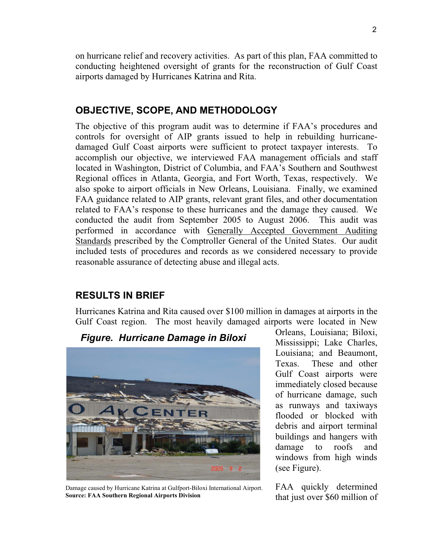on hurricane relief and recovery activities. As part of this plan, FAA committed to conducting heightened oversight of grants for the reconstruction of Gulf Coast airports damaged by Hurricanes Katrina and Rita.

### **OBJECTIVE, SCOPE, AND METHODOLOGY**

The objective of this program audit was to determine if FAA's procedures and controls for oversight of AIP grants issued to help in rebuilding hurricanedamaged Gulf Coast airports were sufficient to protect taxpayer interests. To accomplish our objective, we interviewed FAA management officials and staff located in Washington, District of Columbia, and FAA's Southern and Southwest Regional offices in Atlanta, Georgia, and Fort Worth, Texas, respectively. We also spoke to airport officials in New Orleans, Louisiana. Finally, we examined FAA guidance related to AIP grants, relevant grant files, and other documentation related to FAA's response to these hurricanes and the damage they caused. We conducted the audit from September 2005 to August 2006. This audit was performed in accordance with Generally Accepted Government Auditing Standards prescribed by the Comptroller General of the United States. Our audit included tests of procedures and records as we considered necessary to provide reasonable assurance of detecting abuse and illegal acts.

### **RESULTS IN BRIEF**

Hurricanes Katrina and Rita caused over \$100 million in damages at airports in the Gulf Coast region. The most heavily damaged airports were located in New



Damage caused by Hurricane Katrina at Gulfport-Biloxi International Airport. **Source: FAA Southern Regional Airports Division** 

Orleans, Louisiana; Biloxi, Mississippi; Lake Charles, Louisiana; and Beaumont, Texas. These and other Gulf Coast airports were immediately closed because of hurricane damage, such as runways and taxiways flooded or blocked with debris and airport terminal buildings and hangers with damage to roofs and windows from high winds (see Figure).

FAA quickly determined that just over \$60 million of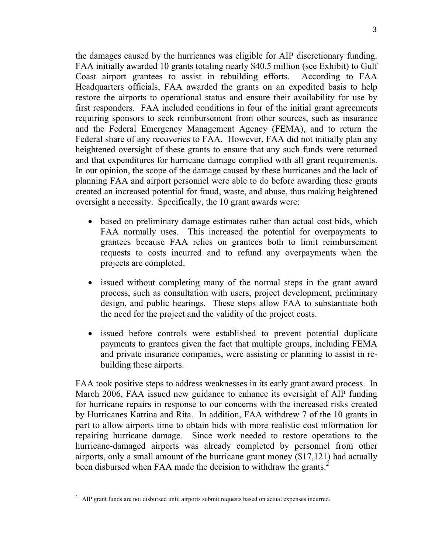the damages caused by the hurricanes was eligible for AIP discretionary funding. FAA initially awarded 10 grants totaling nearly \$40.5 million (see Exhibit) to Gulf Coast airport grantees to assist in rebuilding efforts. According to FAA Headquarters officials, FAA awarded the grants on an expedited basis to help restore the airports to operational status and ensure their availability for use by first responders. FAA included conditions in four of the initial grant agreements requiring sponsors to seek reimbursement from other sources, such as insurance and the Federal Emergency Management Agency (FEMA), and to return the Federal share of any recoveries to FAA. However, FAA did not initially plan any heightened oversight of these grants to ensure that any such funds were returned and that expenditures for hurricane damage complied with all grant requirements. In our opinion, the scope of the damage caused by these hurricanes and the lack of planning FAA and airport personnel were able to do before awarding these grants created an increased potential for fraud, waste, and abuse, thus making heightened oversight a necessity. Specifically, the 10 grant awards were:

- based on preliminary damage estimates rather than actual cost bids, which FAA normally uses. This increased the potential for overpayments to grantees because FAA relies on grantees both to limit reimbursement requests to costs incurred and to refund any overpayments when the projects are completed.
- issued without completing many of the normal steps in the grant award process, such as consultation with users, project development, preliminary design, and public hearings. These steps allow FAA to substantiate both the need for the project and the validity of the project costs.
- issued before controls were established to prevent potential duplicate payments to grantees given the fact that multiple groups, including FEMA and private insurance companies, were assisting or planning to assist in rebuilding these airports.

FAA took positive steps to address weaknesses in its early grant award process. In March 2006, FAA issued new guidance to enhance its oversight of AIP funding for hurricane repairs in response to our concerns with the increased risks created by Hurricanes Katrina and Rita. In addition, FAA withdrew 7 of the 10 grants in part to allow airports time to obtain bids with more realistic cost information for repairing hurricane damage. Since work needed to restore operations to the hurricane-damaged airports was already completed by personnel from other airports, only a small amount of the hurricane grant money (\$17,121) had actually been disbursed when FAA made the decision to withdraw the grants.<sup>2</sup>

-

<sup>&</sup>lt;sup>2</sup> AIP grant funds are not disbursed until airports submit requests based on actual expenses incurred.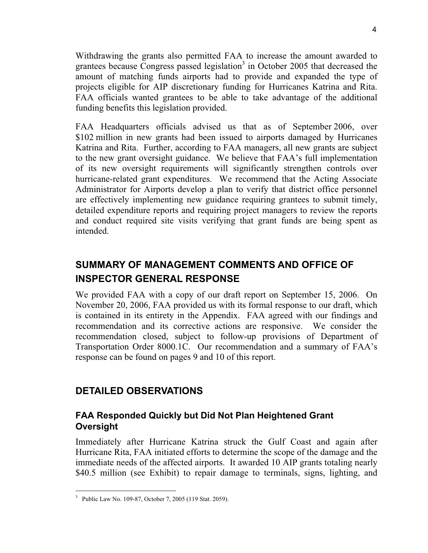Withdrawing the grants also permitted FAA to increase the amount awarded to grantees because Congress passed legislation<sup>3</sup> in October 2005 that decreased the amount of matching funds airports had to provide and expanded the type of projects eligible for AIP discretionary funding for Hurricanes Katrina and Rita. FAA officials wanted grantees to be able to take advantage of the additional funding benefits this legislation provided.

FAA Headquarters officials advised us that as of September 2006, over \$102 million in new grants had been issued to airports damaged by Hurricanes Katrina and Rita. Further, according to FAA managers, all new grants are subject to the new grant oversight guidance. We believe that FAA's full implementation of its new oversight requirements will significantly strengthen controls over hurricane-related grant expenditures. We recommend that the Acting Associate Administrator for Airports develop a plan to verify that district office personnel are effectively implementing new guidance requiring grantees to submit timely, detailed expenditure reports and requiring project managers to review the reports and conduct required site visits verifying that grant funds are being spent as intended.

### **SUMMARY OF MANAGEMENT COMMENTS AND OFFICE OF INSPECTOR GENERAL RESPONSE**

We provided FAA with a copy of our draft report on September 15, 2006. On November 20, 2006, FAA provided us with its formal response to our draft, which is contained in its entirety in the Appendix. FAA agreed with our findings and recommendation and its corrective actions are responsive. We consider the recommendation closed, subject to follow-up provisions of Department of Transportation Order 8000.1C. Our recommendation and a summary of FAA's response can be found on pages 9 and 10 of this report.

### **DETAILED OBSERVATIONS**

### **FAA Responded Quickly but Did Not Plan Heightened Grant Oversight**

Immediately after Hurricane Katrina struck the Gulf Coast and again after Hurricane Rita, FAA initiated efforts to determine the scope of the damage and the immediate needs of the affected airports. It awarded 10 AIP grants totaling nearly \$40.5 million (see Exhibit) to repair damage to terminals, signs, lighting, and

 $\overline{a}$ <sup>3</sup> Public Law No. 109-87, October 7, 2005 (119 Stat. 2059).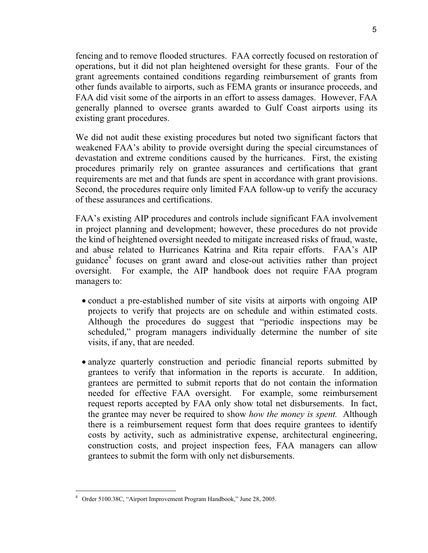fencing and to remove flooded structures. FAA correctly focused on restoration of operations, but it did not plan heightened oversight for these grants. Four of the grant agreements contained conditions regarding reimbursement of grants from other funds available to airports, such as FEMA grants or insurance proceeds, and FAA did visit some of the airports in an effort to assess damages. However, FAA generally planned to oversee grants awarded to Gulf Coast airports using its existing grant procedures.

We did not audit these existing procedures but noted two significant factors that weakened FAA's ability to provide oversight during the special circumstances of devastation and extreme conditions caused by the hurricanes. First, the existing procedures primarily rely on grantee assurances and certifications that grant requirements are met and that funds are spent in accordance with grant provisions. Second, the procedures require only limited FAA follow-up to verify the accuracy of these assurances and certifications.

FAA's existing AIP procedures and controls include significant FAA involvement in project planning and development; however, these procedures do not provide the kind of heightened oversight needed to mitigate increased risks of fraud, waste, and abuse related to Hurricanes Katrina and Rita repair efforts. FAA's AIP guidance4 focuses on grant award and close-out activities rather than project oversight. For example, the AIP handbook does not require FAA program managers to:

- conduct a pre-established number of site visits at airports with ongoing AIP projects to verify that projects are on schedule and within estimated costs. Although the procedures do suggest that "periodic inspections may be scheduled," program managers individually determine the number of site visits, if any, that are needed.
- analyze quarterly construction and periodic financial reports submitted by grantees to verify that information in the reports is accurate. In addition, grantees are permitted to submit reports that do not contain the information needed for effective FAA oversight. For example, some reimbursement request reports accepted by FAA only show total net disbursements. In fact, the grantee may never be required to show *how the money is spent.* Although there is a reimbursement request form that does require grantees to identify costs by activity, such as administrative expense, architectural engineering, construction costs, and project inspection fees, FAA managers can allow grantees to submit the form with only net disbursements.

-

<sup>4</sup> Order 5100.38C, "Airport Improvement Program Handbook," June 28, 2005.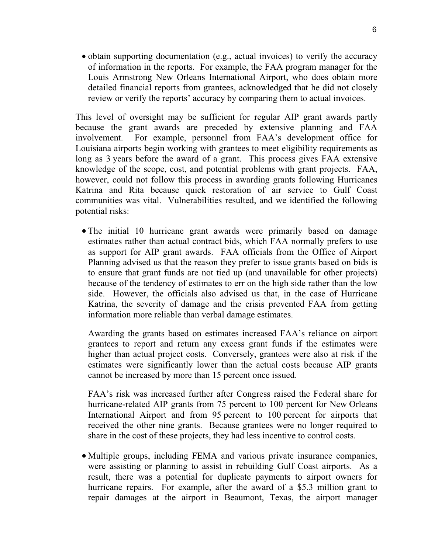- obtain supporting documentation (e.g., actual invoices) to verify the accuracy of information in the reports. For example, the FAA program manager for the Louis Armstrong New Orleans International Airport, who does obtain more detailed financial reports from grantees, acknowledged that he did not closely review or verify the reports' accuracy by comparing them to actual invoices.

This level of oversight may be sufficient for regular AIP grant awards partly because the grant awards are preceded by extensive planning and FAA involvement. For example, personnel from FAA's development office for Louisiana airports begin working with grantees to meet eligibility requirements as long as 3 years before the award of a grant. This process gives FAA extensive knowledge of the scope, cost, and potential problems with grant projects. FAA, however, could not follow this process in awarding grants following Hurricanes Katrina and Rita because quick restoration of air service to Gulf Coast communities was vital. Vulnerabilities resulted, and we identified the following potential risks:

- The initial 10 hurricane grant awards were primarily based on damage estimates rather than actual contract bids, which FAA normally prefers to use as support for AIP grant awards. FAA officials from the Office of Airport Planning advised us that the reason they prefer to issue grants based on bids is to ensure that grant funds are not tied up (and unavailable for other projects) because of the tendency of estimates to err on the high side rather than the low side. However, the officials also advised us that, in the case of Hurricane Katrina, the severity of damage and the crisis prevented FAA from getting information more reliable than verbal damage estimates.

Awarding the grants based on estimates increased FAA's reliance on airport grantees to report and return any excess grant funds if the estimates were higher than actual project costs. Conversely, grantees were also at risk if the estimates were significantly lower than the actual costs because AIP grants cannot be increased by more than 15 percent once issued.

FAA's risk was increased further after Congress raised the Federal share for hurricane-related AIP grants from 75 percent to 100 percent for New Orleans International Airport and from 95 percent to 100 percent for airports that received the other nine grants. Because grantees were no longer required to share in the cost of these projects, they had less incentive to control costs.

- Multiple groups, including FEMA and various private insurance companies, were assisting or planning to assist in rebuilding Gulf Coast airports. As a result, there was a potential for duplicate payments to airport owners for hurricane repairs. For example, after the award of a \$5.3 million grant to repair damages at the airport in Beaumont, Texas, the airport manager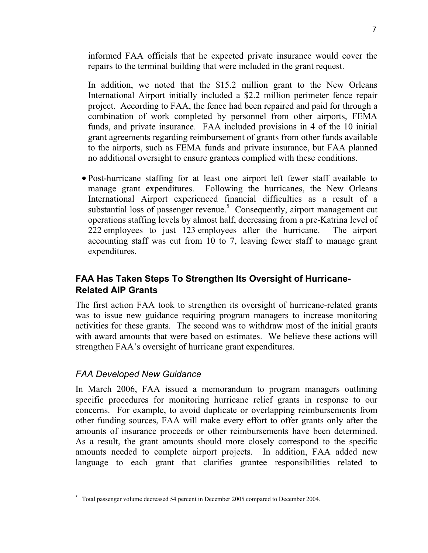informed FAA officials that he expected private insurance would cover the repairs to the terminal building that were included in the grant request.

In addition, we noted that the \$15.2 million grant to the New Orleans International Airport initially included a \$2.2 million perimeter fence repair project. According to FAA, the fence had been repaired and paid for through a combination of work completed by personnel from other airports, FEMA funds, and private insurance. FAA included provisions in 4 of the 10 initial grant agreements regarding reimbursement of grants from other funds available to the airports, such as FEMA funds and private insurance, but FAA planned no additional oversight to ensure grantees complied with these conditions.

- Post-hurricane staffing for at least one airport left fewer staff available to manage grant expenditures. Following the hurricanes, the New Orleans International Airport experienced financial difficulties as a result of a substantial loss of passenger revenue.<sup>5</sup> Consequently, airport management cut operations staffing levels by almost half, decreasing from a pre-Katrina level of 222 employees to just 123 employees after the hurricane. The airport accounting staff was cut from 10 to 7, leaving fewer staff to manage grant expenditures.

### **FAA Has Taken Steps To Strengthen Its Oversight of Hurricane-Related AIP Grants**

The first action FAA took to strengthen its oversight of hurricane-related grants was to issue new guidance requiring program managers to increase monitoring activities for these grants. The second was to withdraw most of the initial grants with award amounts that were based on estimates. We believe these actions will strengthen FAA's oversight of hurricane grant expenditures.

### *FAA Developed New Guidance*

 $\overline{a}$ 

In March 2006, FAA issued a memorandum to program managers outlining specific procedures for monitoring hurricane relief grants in response to our concerns. For example, to avoid duplicate or overlapping reimbursements from other funding sources, FAA will make every effort to offer grants only after the amounts of insurance proceeds or other reimbursements have been determined. As a result, the grant amounts should more closely correspond to the specific amounts needed to complete airport projects. In addition, FAA added new language to each grant that clarifies grantee responsibilities related to

<sup>&</sup>lt;sup>5</sup> Total passenger volume decreased 54 percent in December 2005 compared to December 2004.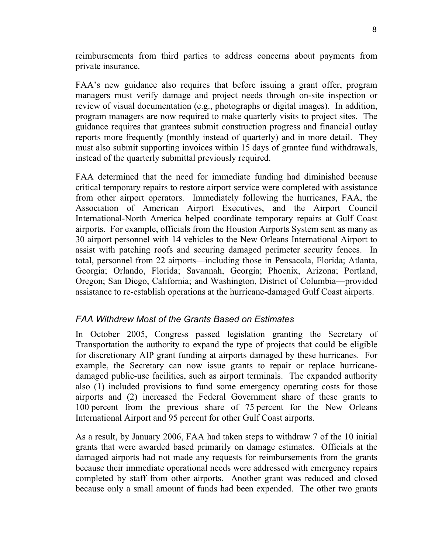reimbursements from third parties to address concerns about payments from private insurance.

FAA's new guidance also requires that before issuing a grant offer, program managers must verify damage and project needs through on-site inspection or review of visual documentation (e.g., photographs or digital images). In addition, program managers are now required to make quarterly visits to project sites. The guidance requires that grantees submit construction progress and financial outlay reports more frequently (monthly instead of quarterly) and in more detail. They must also submit supporting invoices within 15 days of grantee fund withdrawals, instead of the quarterly submittal previously required.

FAA determined that the need for immediate funding had diminished because critical temporary repairs to restore airport service were completed with assistance from other airport operators. Immediately following the hurricanes, FAA, the Association of American Airport Executives, and the Airport Council International-North America helped coordinate temporary repairs at Gulf Coast airports. For example, officials from the Houston Airports System sent as many as 30 airport personnel with 14 vehicles to the New Orleans International Airport to assist with patching roofs and securing damaged perimeter security fences. In total, personnel from 22 airports—including those in Pensacola, Florida; Atlanta, Georgia; Orlando, Florida; Savannah, Georgia; Phoenix, Arizona; Portland, Oregon; San Diego, California; and Washington, District of Columbia—provided assistance to re-establish operations at the hurricane-damaged Gulf Coast airports.

### *FAA Withdrew Most of the Grants Based on Estimates*

In October 2005, Congress passed legislation granting the Secretary of Transportation the authority to expand the type of projects that could be eligible for discretionary AIP grant funding at airports damaged by these hurricanes. For example, the Secretary can now issue grants to repair or replace hurricanedamaged public-use facilities, such as airport terminals. The expanded authority also (1) included provisions to fund some emergency operating costs for those airports and (2) increased the Federal Government share of these grants to 100 percent from the previous share of 75 percent for the New Orleans International Airport and 95 percent for other Gulf Coast airports.

As a result, by January 2006, FAA had taken steps to withdraw 7 of the 10 initial grants that were awarded based primarily on damage estimates. Officials at the damaged airports had not made any requests for reimbursements from the grants because their immediate operational needs were addressed with emergency repairs completed by staff from other airports. Another grant was reduced and closed because only a small amount of funds had been expended. The other two grants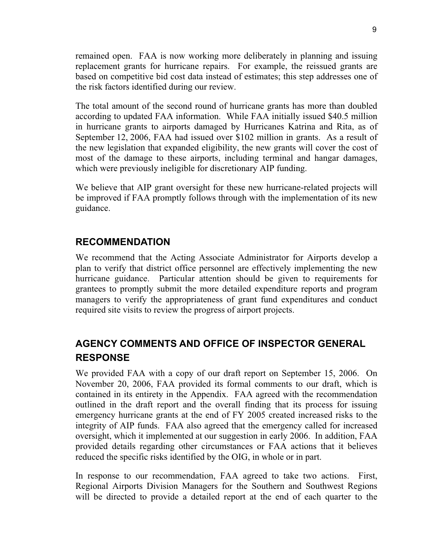remained open. FAA is now working more deliberately in planning and issuing replacement grants for hurricane repairs. For example, the reissued grants are based on competitive bid cost data instead of estimates; this step addresses one of the risk factors identified during our review.

The total amount of the second round of hurricane grants has more than doubled according to updated FAA information. While FAA initially issued \$40.5 million in hurricane grants to airports damaged by Hurricanes Katrina and Rita, as of September 12, 2006, FAA had issued over \$102 million in grants. As a result of the new legislation that expanded eligibility, the new grants will cover the cost of most of the damage to these airports, including terminal and hangar damages, which were previously ineligible for discretionary AIP funding.

We believe that AIP grant oversight for these new hurricane-related projects will be improved if FAA promptly follows through with the implementation of its new guidance.

### **RECOMMENDATION**

We recommend that the Acting Associate Administrator for Airports develop a plan to verify that district office personnel are effectively implementing the new hurricane guidance. Particular attention should be given to requirements for grantees to promptly submit the more detailed expenditure reports and program managers to verify the appropriateness of grant fund expenditures and conduct required site visits to review the progress of airport projects.

### **AGENCY COMMENTS AND OFFICE OF INSPECTOR GENERAL RESPONSE**

We provided FAA with a copy of our draft report on September 15, 2006. On November 20, 2006, FAA provided its formal comments to our draft, which is contained in its entirety in the Appendix. FAA agreed with the recommendation outlined in the draft report and the overall finding that its process for issuing emergency hurricane grants at the end of FY 2005 created increased risks to the integrity of AIP funds. FAA also agreed that the emergency called for increased oversight, which it implemented at our suggestion in early 2006. In addition, FAA provided details regarding other circumstances or FAA actions that it believes reduced the specific risks identified by the OIG, in whole or in part.

In response to our recommendation, FAA agreed to take two actions. First, Regional Airports Division Managers for the Southern and Southwest Regions will be directed to provide a detailed report at the end of each quarter to the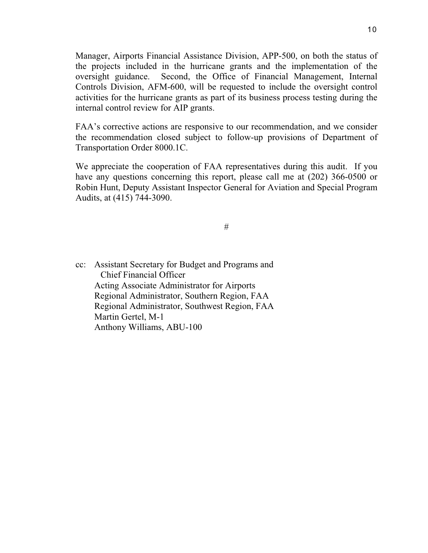Manager, Airports Financial Assistance Division, APP-500, on both the status of the projects included in the hurricane grants and the implementation of the oversight guidance. Second, the Office of Financial Management, Internal Controls Division, AFM-600, will be requested to include the oversight control activities for the hurricane grants as part of its business process testing during the internal control review for AIP grants.

FAA's corrective actions are responsive to our recommendation, and we consider the recommendation closed subject to follow-up provisions of Department of Transportation Order 8000.1C.

We appreciate the cooperation of FAA representatives during this audit. If you have any questions concerning this report, please call me at (202) 366-0500 or Robin Hunt, Deputy Assistant Inspector General for Aviation and Special Program Audits, at (415) 744-3090.

#

cc: Assistant Secretary for Budget and Programs and Chief Financial Officer Acting Associate Administrator for Airports Regional Administrator, Southern Region, FAA Regional Administrator, Southwest Region, FAA Martin Gertel, M-1 Anthony Williams, ABU-100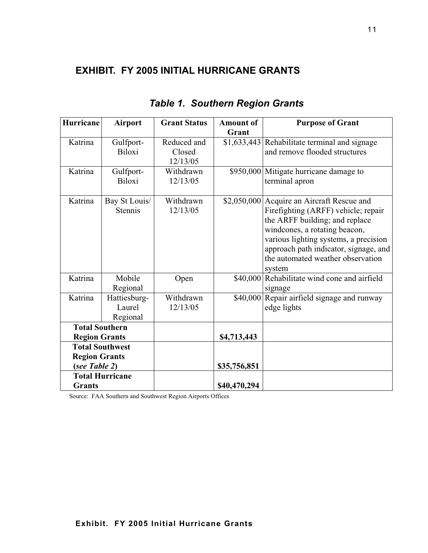### **EXHIBIT. FY 2005 INITIAL HURRICANE GRANTS**

| Hurricane              | <b>Airport</b> | <b>Grant Status</b> | <b>Amount of</b> | <b>Purpose of Grant</b>                       |
|------------------------|----------------|---------------------|------------------|-----------------------------------------------|
|                        |                |                     | Grant            |                                               |
| Katrina                | Gulfport-      | Reduced and         |                  | \$1,633,443 Rehabilitate terminal and signage |
|                        | <b>Biloxi</b>  | Closed              |                  | and remove flooded structures                 |
|                        |                | 12/13/05            |                  |                                               |
| Katrina                | Gulfport-      | Withdrawn           |                  | \$950,000 Mitigate hurricane damage to        |
|                        | Biloxi         | 12/13/05            |                  | terminal apron                                |
| Katrina                | Bay St Louis/  | Withdrawn           |                  | \$2,050,000 Acquire an Aircraft Rescue and    |
|                        | Stennis        | 12/13/05            |                  | Firefighting (ARFF) vehicle; repair           |
|                        |                |                     |                  | the ARFF building; and replace                |
|                        |                |                     |                  | windcones, a rotating beacon,                 |
|                        |                |                     |                  | various lighting systems, a precision         |
|                        |                |                     |                  | approach path indicator, signage, and         |
|                        |                |                     |                  | the automated weather observation             |
|                        |                |                     |                  | system                                        |
| Katrina                | Mobile         | Open                | \$40,000         | Rehabilitate wind cone and airfield           |
|                        | Regional       |                     |                  | signage                                       |
| Katrina                | Hattiesburg-   | Withdrawn           | \$40,000         | Repair airfield signage and runway            |
|                        | Laurel         | 12/13/05            |                  | edge lights                                   |
|                        | Regional       |                     |                  |                                               |
| <b>Total Southern</b>  |                |                     |                  |                                               |
| <b>Region Grants</b>   |                |                     | \$4,713,443      |                                               |
| <b>Total Southwest</b> |                |                     |                  |                                               |
| <b>Region Grants</b>   |                |                     |                  |                                               |
| (see Table 2)          |                |                     | \$35,756,851     |                                               |
| <b>Total Hurricane</b> |                |                     |                  |                                               |
| <b>Grants</b>          |                |                     | \$40,470,294     |                                               |

### *Table 1. Southern Region Grants*

Source: FAA Southern and Southwest Region Airports Offices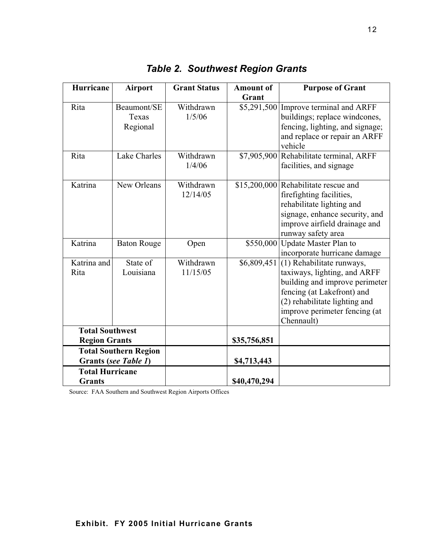| Hurricane                                            | <b>Airport</b>                   | <b>Grant Status</b>   | <b>Amount of</b><br>Grant | <b>Purpose of Grant</b>                                                                                                                                                                                   |
|------------------------------------------------------|----------------------------------|-----------------------|---------------------------|-----------------------------------------------------------------------------------------------------------------------------------------------------------------------------------------------------------|
| Rita                                                 | Beaumont/SE<br>Texas<br>Regional | Withdrawn<br>1/5/06   | \$5,291,500               | Improve terminal and ARFF<br>buildings; replace windcones,<br>fencing, lighting, and signage;<br>and replace or repair an ARFF<br>vehicle                                                                 |
| Rita                                                 | <b>Lake Charles</b>              | Withdrawn<br>1/4/06   | \$7,905,900               | Rehabilitate terminal, ARFF<br>facilities, and signage                                                                                                                                                    |
| Katrina                                              | New Orleans                      | Withdrawn<br>12/14/05 |                           | \$15,200,000 Rehabilitate rescue and<br>firefighting facilities,<br>rehabilitate lighting and<br>signage, enhance security, and<br>improve airfield drainage and<br>runway safety area                    |
| Katrina                                              | <b>Baton Rouge</b>               | Open                  | \$550,000                 | Update Master Plan to<br>incorporate hurricane damage                                                                                                                                                     |
| Katrina and<br>Rita                                  | State of<br>Louisiana            | Withdrawn<br>11/15/05 | \$6,809,451               | (1) Rehabilitate runways,<br>taxiways, lighting, and ARFF<br>building and improve perimeter<br>fencing (at Lakefront) and<br>(2) rehabilitate lighting and<br>improve perimeter fencing (at<br>Chennault) |
| <b>Total Southwest</b>                               |                                  |                       |                           |                                                                                                                                                                                                           |
| <b>Region Grants</b>                                 |                                  |                       | \$35,756,851              |                                                                                                                                                                                                           |
| <b>Total Southern Region</b><br>Grants (see Table 1) |                                  |                       | \$4,713,443               |                                                                                                                                                                                                           |
| <b>Total Hurricane</b>                               |                                  |                       |                           |                                                                                                                                                                                                           |
| <b>Grants</b>                                        |                                  |                       | \$40,470,294              |                                                                                                                                                                                                           |

*Table 2. Southwest Region Grants* 

Source: FAA Southern and Southwest Region Airports Offices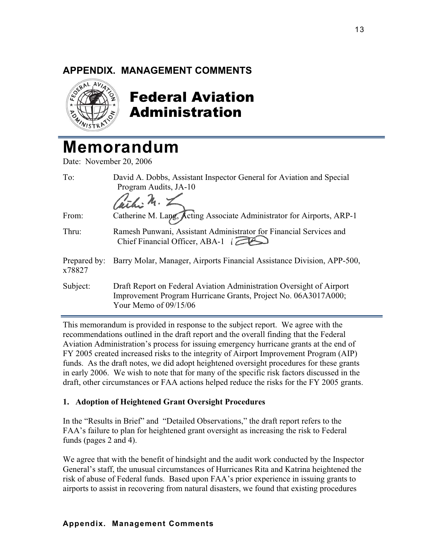# **APPENDIX. MANAGEMENT COMMENTS**<br>  $\begin{matrix} \mathbb{R}^{n_1 A} & n_2 \\ n_3 & n_4 \end{matrix}$



### Federal Aviation Administration

### **Memorandum**

Date: November 20, 2006

| To:                    | David A. Dobbs, Assistant Inspector General for Aviation and Special<br>Program Audits, JA-10<br>Cathi M. L                                                       |
|------------------------|-------------------------------------------------------------------------------------------------------------------------------------------------------------------|
| From:                  | Catherine M. Lapg, Acting Associate Administrator for Airports, ARP-1                                                                                             |
| Thru:                  | Ramesh Punwani, Assistant Administrator for Financial Services and<br>Chief Financial Officer, ABA-1                                                              |
| Prepared by:<br>x78827 | Barry Molar, Manager, Airports Financial Assistance Division, APP-500,                                                                                            |
| Subject:               | Draft Report on Federal Aviation Administration Oversight of Airport<br>Improvement Program Hurricane Grants, Project No. 06A3017A000;<br>Your Memo of $09/15/06$ |

This memorandum is provided in response to the subject report. We agree with the recommendations outlined in the draft report and the overall finding that the Federal Aviation Administration's process for issuing emergency hurricane grants at the end of FY 2005 created increased risks to the integrity of Airport Improvement Program (AIP) funds. As the draft notes, we did adopt heightened oversight procedures for these grants in early 2006. We wish to note that for many of the specific risk factors discussed in the draft, other circumstances or FAA actions helped reduce the risks for the FY 2005 grants.

### **1. Adoption of Heightened Grant Oversight Procedures**

In the "Results in Brief" and "Detailed Observations," the draft report refers to the FAA's failure to plan for heightened grant oversight as increasing the risk to Federal funds (pages 2 and 4).

We agree that with the benefit of hindsight and the audit work conducted by the Inspector General's staff, the unusual circumstances of Hurricanes Rita and Katrina heightened the risk of abuse of Federal funds. Based upon FAA's prior experience in issuing grants to airports to assist in recovering from natural disasters, we found that existing procedures

### **Appendix. Management Comments**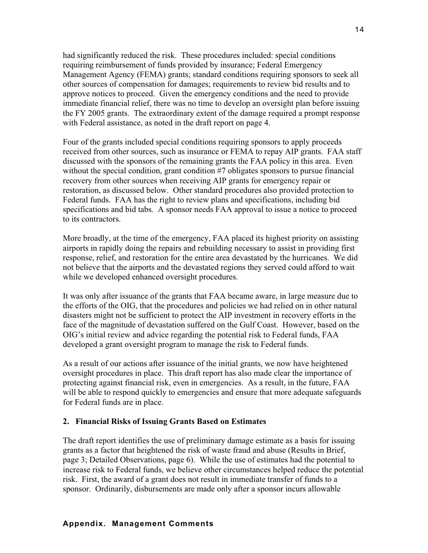had significantly reduced the risk. These procedures included: special conditions requiring reimbursement of funds provided by insurance; Federal Emergency Management Agency (FEMA) grants; standard conditions requiring sponsors to seek all other sources of compensation for damages; requirements to review bid results and to approve notices to proceed. Given the emergency conditions and the need to provide immediate financial relief, there was no time to develop an oversight plan before issuing the FY 2005 grants. The extraordinary extent of the damage required a prompt response with Federal assistance, as noted in the draft report on page 4.

Four of the grants included special conditions requiring sponsors to apply proceeds received from other sources, such as insurance or FEMA to repay AIP grants. FAA staff discussed with the sponsors of the remaining grants the FAA policy in this area. Even without the special condition, grant condition #7 obligates sponsors to pursue financial recovery from other sources when receiving AIP grants for emergency repair or restoration, as discussed below. Other standard procedures also provided protection to Federal funds. FAA has the right to review plans and specifications, including bid specifications and bid tabs. A sponsor needs FAA approval to issue a notice to proceed to its contractors.

More broadly, at the time of the emergency, FAA placed its highest priority on assisting airports in rapidly doing the repairs and rebuilding necessary to assist in providing first response, relief, and restoration for the entire area devastated by the hurricanes. We did not believe that the airports and the devastated regions they served could afford to wait while we developed enhanced oversight procedures.

It was only after issuance of the grants that FAA became aware, in large measure due to the efforts of the OIG, that the procedures and policies we had relied on in other natural disasters might not be sufficient to protect the AIP investment in recovery efforts in the face of the magnitude of devastation suffered on the Gulf Coast. However, based on the OIG's initial review and advice regarding the potential risk to Federal funds, FAA developed a grant oversight program to manage the risk to Federal funds.

As a result of our actions after issuance of the initial grants, we now have heightened oversight procedures in place. This draft report has also made clear the importance of protecting against financial risk, even in emergencies. As a result, in the future, FAA will be able to respond quickly to emergencies and ensure that more adequate safeguards for Federal funds are in place.

### **2. Financial Risks of Issuing Grants Based on Estimates**

The draft report identifies the use of preliminary damage estimate as a basis for issuing grants as a factor that heightened the risk of waste fraud and abuse (Results in Brief, page 3; Detailed Observations, page 6). While the use of estimates had the potential to increase risk to Federal funds, we believe other circumstances helped reduce the potential risk. First, the award of a grant does not result in immediate transfer of funds to a sponsor. Ordinarily, disbursements are made only after a sponsor incurs allowable

### **Appendix. Management Comments**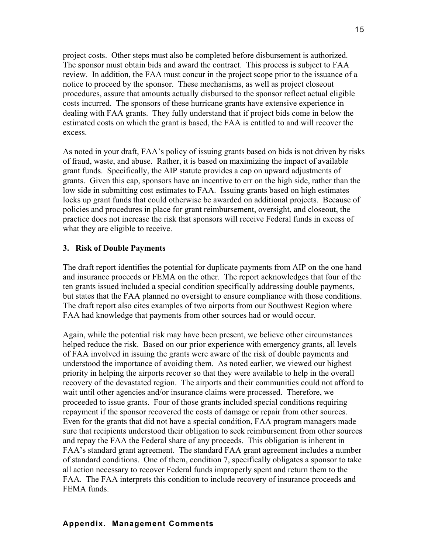project costs. Other steps must also be completed before disbursement is authorized. The sponsor must obtain bids and award the contract. This process is subject to FAA review. In addition, the FAA must concur in the project scope prior to the issuance of a notice to proceed by the sponsor. These mechanisms, as well as project closeout procedures, assure that amounts actually disbursed to the sponsor reflect actual eligible costs incurred. The sponsors of these hurricane grants have extensive experience in dealing with FAA grants. They fully understand that if project bids come in below the estimated costs on which the grant is based, the FAA is entitled to and will recover the excess.

As noted in your draft, FAA's policy of issuing grants based on bids is not driven by risks of fraud, waste, and abuse. Rather, it is based on maximizing the impact of available grant funds. Specifically, the AIP statute provides a cap on upward adjustments of grants. Given this cap, sponsors have an incentive to err on the high side, rather than the low side in submitting cost estimates to FAA. Issuing grants based on high estimates locks up grant funds that could otherwise be awarded on additional projects. Because of policies and procedures in place for grant reimbursement, oversight, and closeout, the practice does not increase the risk that sponsors will receive Federal funds in excess of what they are eligible to receive.

#### **3. Risk of Double Payments**

The draft report identifies the potential for duplicate payments from AIP on the one hand and insurance proceeds or FEMA on the other. The report acknowledges that four of the ten grants issued included a special condition specifically addressing double payments, but states that the FAA planned no oversight to ensure compliance with those conditions. The draft report also cites examples of two airports from our Southwest Region where FAA had knowledge that payments from other sources had or would occur.

Again, while the potential risk may have been present, we believe other circumstances helped reduce the risk. Based on our prior experience with emergency grants, all levels of FAA involved in issuing the grants were aware of the risk of double payments and understood the importance of avoiding them. As noted earlier, we viewed our highest priority in helping the airports recover so that they were available to help in the overall recovery of the devastated region. The airports and their communities could not afford to wait until other agencies and/or insurance claims were processed. Therefore, we proceeded to issue grants. Four of those grants included special conditions requiring repayment if the sponsor recovered the costs of damage or repair from other sources. Even for the grants that did not have a special condition, FAA program managers made sure that recipients understood their obligation to seek reimbursement from other sources and repay the FAA the Federal share of any proceeds. This obligation is inherent in FAA's standard grant agreement. The standard FAA grant agreement includes a number of standard conditions. One of them, condition 7, specifically obligates a sponsor to take all action necessary to recover Federal funds improperly spent and return them to the FAA. The FAA interprets this condition to include recovery of insurance proceeds and FEMA funds.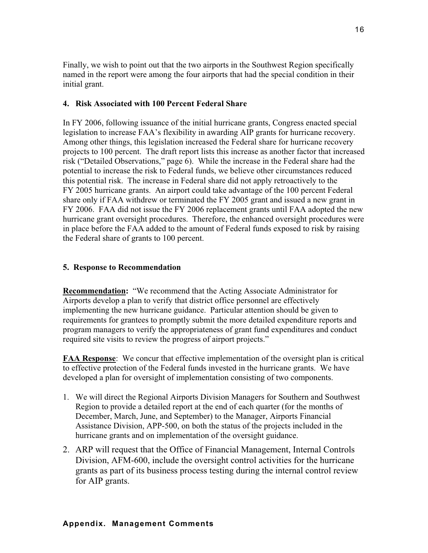Finally, we wish to point out that the two airports in the Southwest Region specifically named in the report were among the four airports that had the special condition in their initial grant.

### **4. Risk Associated with 100 Percent Federal Share**

In FY 2006, following issuance of the initial hurricane grants, Congress enacted special legislation to increase FAA's flexibility in awarding AIP grants for hurricane recovery. Among other things, this legislation increased the Federal share for hurricane recovery projects to 100 percent. The draft report lists this increase as another factor that increased risk ("Detailed Observations," page 6). While the increase in the Federal share had the potential to increase the risk to Federal funds, we believe other circumstances reduced this potential risk. The increase in Federal share did not apply retroactively to the FY 2005 hurricane grants. An airport could take advantage of the 100 percent Federal share only if FAA withdrew or terminated the FY 2005 grant and issued a new grant in FY 2006. FAA did not issue the FY 2006 replacement grants until FAA adopted the new hurricane grant oversight procedures. Therefore, the enhanced oversight procedures were in place before the FAA added to the amount of Federal funds exposed to risk by raising the Federal share of grants to 100 percent.

### **5. Response to Recommendation**

**Recommendation:** "We recommend that the Acting Associate Administrator for Airports develop a plan to verify that district office personnel are effectively implementing the new hurricane guidance. Particular attention should be given to requirements for grantees to promptly submit the more detailed expenditure reports and program managers to verify the appropriateness of grant fund expenditures and conduct required site visits to review the progress of airport projects."

**FAA Response**: We concur that effective implementation of the oversight plan is critical to effective protection of the Federal funds invested in the hurricane grants. We have developed a plan for oversight of implementation consisting of two components.

- 1. We will direct the Regional Airports Division Managers for Southern and Southwest Region to provide a detailed report at the end of each quarter (for the months of December, March, June, and September) to the Manager, Airports Financial Assistance Division, APP-500, on both the status of the projects included in the hurricane grants and on implementation of the oversight guidance.
- 2. ARP will request that the Office of Financial Management, Internal Controls Division, AFM-600, include the oversight control activities for the hurricane grants as part of its business process testing during the internal control review for AIP grants.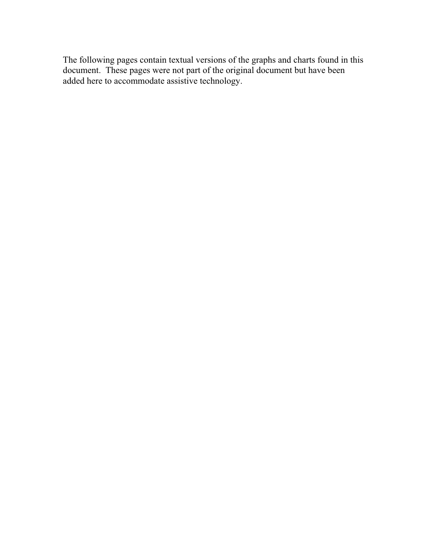The following pages contain textual versions of the graphs and charts found in this document. These pages were not part of the original document but have been added here to accommodate assistive technology.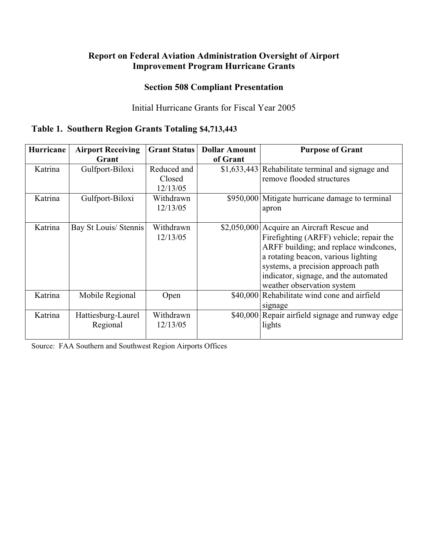### **Report on Federal Aviation Administration Oversight of Airport Improvement Program Hurricane Grants**

### **Section 508 Compliant Presentation**

### Initial Hurricane Grants for Fiscal Year 2005

### **Table 1. Southern Region Grants Totaling \$4,713,443**

| <b>Hurricane</b> | <b>Airport Receiving</b> | <b>Grant Status</b> | <b>Dollar Amount</b> | <b>Purpose of Grant</b>                           |
|------------------|--------------------------|---------------------|----------------------|---------------------------------------------------|
|                  | Grant                    |                     | of Grant             |                                                   |
| Katrina          | Gulfport-Biloxi          | Reduced and         |                      | \$1,633,443 Rehabilitate terminal and signage and |
|                  |                          | Closed              |                      | remove flooded structures                         |
|                  |                          | 12/13/05            |                      |                                                   |
| Katrina          | Gulfport-Biloxi          | Withdrawn           |                      | \$950,000 Mitigate hurricane damage to terminal   |
|                  |                          | 12/13/05            |                      | apron                                             |
|                  |                          |                     |                      |                                                   |
| Katrina          | Bay St Louis/ Stennis    | Withdrawn           | \$2,050,000          | Acquire an Aircraft Rescue and                    |
|                  |                          | 12/13/05            |                      | Firefighting (ARFF) vehicle; repair the           |
|                  |                          |                     |                      | ARFF building; and replace windcones,             |
|                  |                          |                     |                      | a rotating beacon, various lighting               |
|                  |                          |                     |                      | systems, a precision approach path                |
|                  |                          |                     |                      | indicator, signage, and the automated             |
|                  |                          |                     |                      | weather observation system                        |
| Katrina          | Mobile Regional          | Open                | \$40,000             | Rehabilitate wind cone and airfield               |
|                  |                          |                     |                      | signage                                           |
| Katrina          | Hattiesburg-Laurel       | Withdrawn           | \$40,000             | Repair airfield signage and runway edge           |
|                  | Regional                 | 12/13/05            |                      | lights                                            |
|                  |                          |                     |                      |                                                   |

Source: FAA Southern and Southwest Region Airports Offices